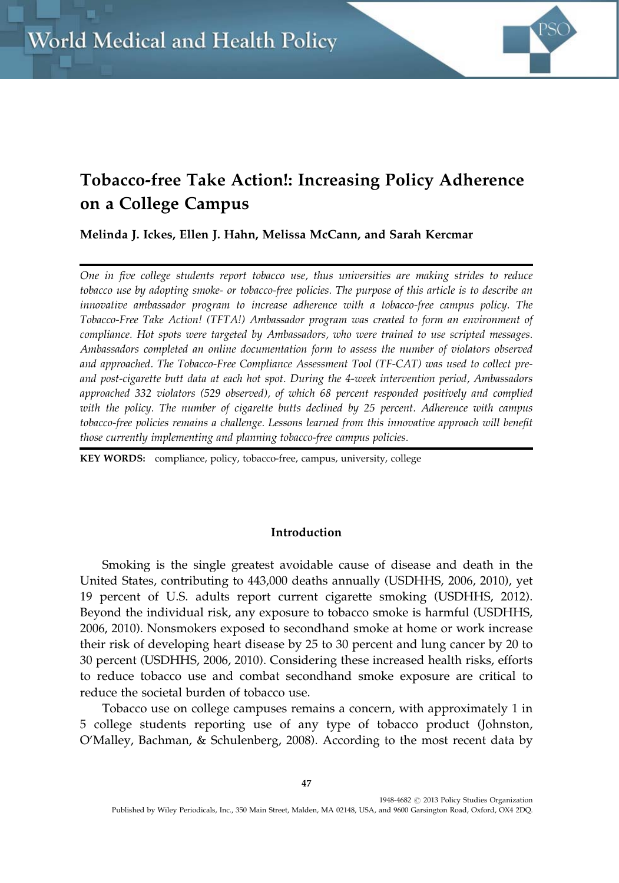

# Tobacco-free Take Action!: Increasing Policy Adherence on a College Campus

Melinda J. Ickes, Ellen J. Hahn, Melissa McCann, and Sarah Kercmar

One in five college students report tobacco use, thus universities are making strides to reduce tobacco use by adopting smoke- or tobacco-free policies. The purpose of this article is to describe an innovative ambassador program to increase adherence with a tobacco-free campus policy. The Tobacco-Free Take Action! (TFTA!) Ambassador program was created to form an environment of compliance. Hot spots were targeted by Ambassadors, who were trained to use scripted messages. Ambassadors completed an online documentation form to assess the number of violators observed and approached. The Tobacco-Free Compliance Assessment Tool (TF-CAT) was used to collect preand post-cigarette butt data at each hot spot. During the 4-week intervention period, Ambassadors approached 332 violators (529 observed), of which 68 percent responded positively and complied with the policy. The number of cigarette butts declined by 25 percent. Adherence with campus tobacco-free policies remains a challenge. Lessons learned from this innovative approach will benefit those currently implementing and planning tobacco-free campus policies.

KEY WORDS: compliance, policy, tobacco-free, campus, university, college

# Introduction

Smoking is the single greatest avoidable cause of disease and death in the United States, contributing to 443,000 deaths annually (USDHHS, 2006, 2010), yet 19 percent of U.S. adults report current cigarette smoking (USDHHS, 2012). Beyond the individual risk, any exposure to tobacco smoke is harmful (USDHHS, 2006, 2010). Nonsmokers exposed to secondhand smoke at home or work increase their risk of developing heart disease by 25 to 30 percent and lung cancer by 20 to 30 percent (USDHHS, 2006, 2010). Considering these increased health risks, efforts to reduce tobacco use and combat secondhand smoke exposure are critical to reduce the societal burden of tobacco use.

Tobacco use on college campuses remains a concern, with approximately 1 in 5 college students reporting use of any type of tobacco product (Johnston, O'Malley, Bachman, & Schulenberg, 2008). According to the most recent data by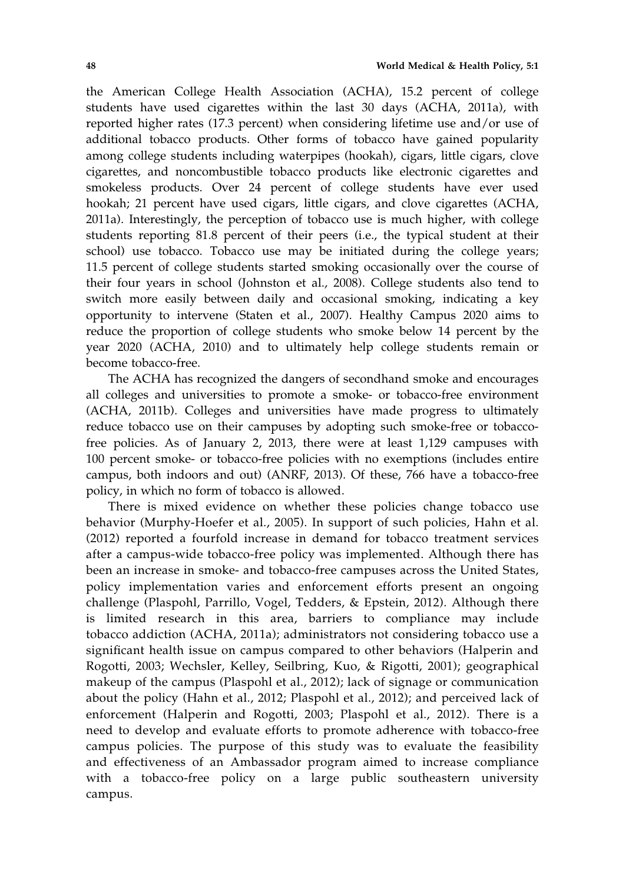the American College Health Association (ACHA), 15.2 percent of college students have used cigarettes within the last 30 days (ACHA, 2011a), with reported higher rates (17.3 percent) when considering lifetime use and/or use of additional tobacco products. Other forms of tobacco have gained popularity among college students including waterpipes (hookah), cigars, little cigars, clove cigarettes, and noncombustible tobacco products like electronic cigarettes and smokeless products. Over 24 percent of college students have ever used hookah; 21 percent have used cigars, little cigars, and clove cigarettes (ACHA, 2011a). Interestingly, the perception of tobacco use is much higher, with college students reporting 81.8 percent of their peers (i.e., the typical student at their school) use tobacco. Tobacco use may be initiated during the college years; 11.5 percent of college students started smoking occasionally over the course of their four years in school (Johnston et al., 2008). College students also tend to switch more easily between daily and occasional smoking, indicating a key opportunity to intervene (Staten et al., 2007). Healthy Campus 2020 aims to reduce the proportion of college students who smoke below 14 percent by the year 2020 (ACHA, 2010) and to ultimately help college students remain or become tobacco-free.

The ACHA has recognized the dangers of secondhand smoke and encourages all colleges and universities to promote a smoke- or tobacco-free environment (ACHA, 2011b). Colleges and universities have made progress to ultimately reduce tobacco use on their campuses by adopting such smoke-free or tobaccofree policies. As of January 2, 2013, there were at least 1,129 campuses with 100 percent smoke- or tobacco-free policies with no exemptions (includes entire campus, both indoors and out) (ANRF, 2013). Of these, 766 have a tobacco-free policy, in which no form of tobacco is allowed.

There is mixed evidence on whether these policies change tobacco use behavior (Murphy-Hoefer et al., 2005). In support of such policies, Hahn et al. (2012) reported a fourfold increase in demand for tobacco treatment services after a campus-wide tobacco-free policy was implemented. Although there has been an increase in smoke- and tobacco-free campuses across the United States, policy implementation varies and enforcement efforts present an ongoing challenge (Plaspohl, Parrillo, Vogel, Tedders, & Epstein, 2012). Although there is limited research in this area, barriers to compliance may include tobacco addiction (ACHA, 2011a); administrators not considering tobacco use a significant health issue on campus compared to other behaviors (Halperin and Rogotti, 2003; Wechsler, Kelley, Seilbring, Kuo, & Rigotti, 2001); geographical makeup of the campus (Plaspohl et al., 2012); lack of signage or communication about the policy (Hahn et al., 2012; Plaspohl et al., 2012); and perceived lack of enforcement (Halperin and Rogotti, 2003; Plaspohl et al., 2012). There is a need to develop and evaluate efforts to promote adherence with tobacco-free campus policies. The purpose of this study was to evaluate the feasibility and effectiveness of an Ambassador program aimed to increase compliance with a tobacco-free policy on a large public southeastern university campus.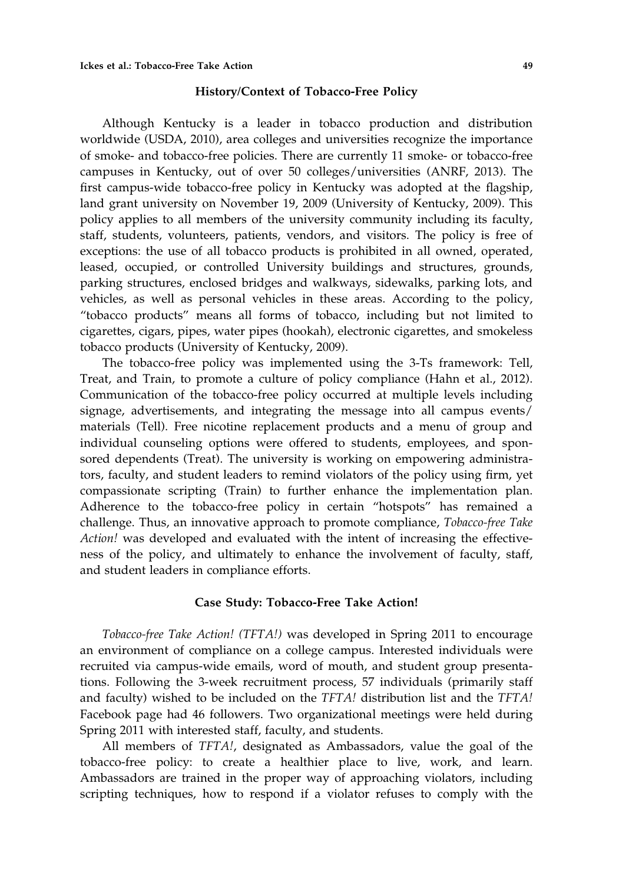#### History/Context of Tobacco-Free Policy

Although Kentucky is a leader in tobacco production and distribution worldwide (USDA, 2010), area colleges and universities recognize the importance of smoke- and tobacco-free policies. There are currently 11 smoke- or tobacco-free campuses in Kentucky, out of over 50 colleges/universities (ANRF, 2013). The first campus-wide tobacco-free policy in Kentucky was adopted at the flagship, land grant university on November 19, 2009 (University of Kentucky, 2009). This policy applies to all members of the university community including its faculty, staff, students, volunteers, patients, vendors, and visitors. The policy is free of exceptions: the use of all tobacco products is prohibited in all owned, operated, leased, occupied, or controlled University buildings and structures, grounds, parking structures, enclosed bridges and walkways, sidewalks, parking lots, and vehicles, as well as personal vehicles in these areas. According to the policy, "tobacco products" means all forms of tobacco, including but not limited to cigarettes, cigars, pipes, water pipes (hookah), electronic cigarettes, and smokeless tobacco products (University of Kentucky, 2009).

The tobacco-free policy was implemented using the 3-Ts framework: Tell, Treat, and Train, to promote a culture of policy compliance (Hahn et al., 2012). Communication of the tobacco-free policy occurred at multiple levels including signage, advertisements, and integrating the message into all campus events/ materials (Tell). Free nicotine replacement products and a menu of group and individual counseling options were offered to students, employees, and sponsored dependents (Treat). The university is working on empowering administrators, faculty, and student leaders to remind violators of the policy using firm, yet compassionate scripting (Train) to further enhance the implementation plan. Adherence to the tobacco-free policy in certain "hotspots" has remained a challenge. Thus, an innovative approach to promote compliance, Tobacco-free Take Action! was developed and evaluated with the intent of increasing the effectiveness of the policy, and ultimately to enhance the involvement of faculty, staff, and student leaders in compliance efforts.

# Case Study: Tobacco-Free Take Action!

Tobacco-free Take Action! (TFTA!) was developed in Spring 2011 to encourage an environment of compliance on a college campus. Interested individuals were recruited via campus-wide emails, word of mouth, and student group presentations. Following the 3-week recruitment process, 57 individuals (primarily staff and faculty) wished to be included on the  $TFTA!$  distribution list and the  $TFTA!$ Facebook page had 46 followers. Two organizational meetings were held during Spring 2011 with interested staff, faculty, and students.

All members of TFTA!, designated as Ambassadors, value the goal of the tobacco-free policy: to create a healthier place to live, work, and learn. Ambassadors are trained in the proper way of approaching violators, including scripting techniques, how to respond if a violator refuses to comply with the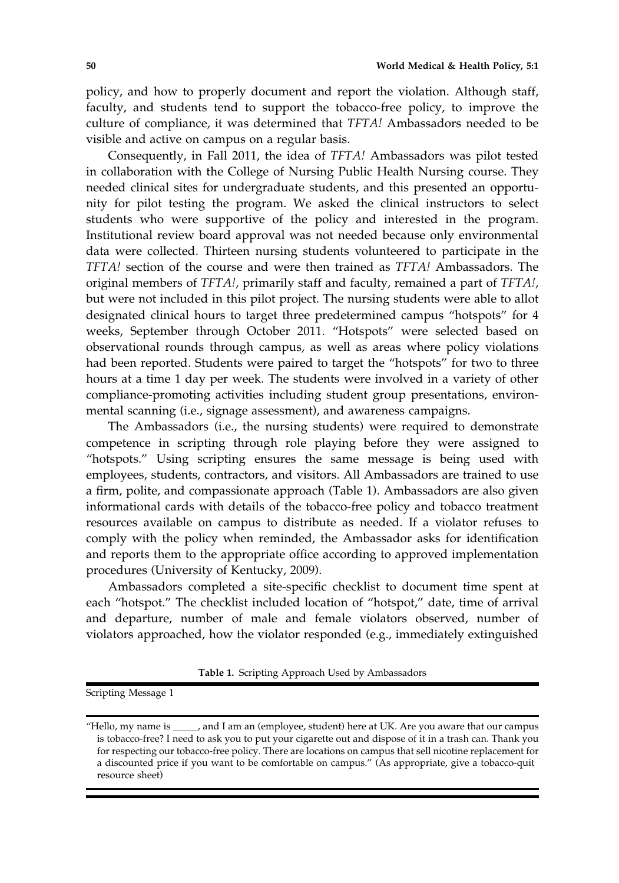policy, and how to properly document and report the violation. Although staff, faculty, and students tend to support the tobacco-free policy, to improve the culture of compliance, it was determined that TFTA! Ambassadors needed to be visible and active on campus on a regular basis.

Consequently, in Fall 2011, the idea of TFTA! Ambassadors was pilot tested in collaboration with the College of Nursing Public Health Nursing course. They needed clinical sites for undergraduate students, and this presented an opportunity for pilot testing the program. We asked the clinical instructors to select students who were supportive of the policy and interested in the program. Institutional review board approval was not needed because only environmental data were collected. Thirteen nursing students volunteered to participate in the TFTA! section of the course and were then trained as TFTA! Ambassadors. The original members of TFTA!, primarily staff and faculty, remained a part of TFTA!, but were not included in this pilot project. The nursing students were able to allot designated clinical hours to target three predetermined campus "hotspots" for 4 weeks, September through October 2011. "Hotspots" were selected based on observational rounds through campus, as well as areas where policy violations had been reported. Students were paired to target the "hotspots" for two to three hours at a time 1 day per week. The students were involved in a variety of other compliance-promoting activities including student group presentations, environmental scanning (i.e., signage assessment), and awareness campaigns.

The Ambassadors (i.e., the nursing students) were required to demonstrate competence in scripting through role playing before they were assigned to "hotspots." Using scripting ensures the same message is being used with employees, students, contractors, and visitors. All Ambassadors are trained to use a firm, polite, and compassionate approach (Table 1). Ambassadors are also given informational cards with details of the tobacco-free policy and tobacco treatment resources available on campus to distribute as needed. If a violator refuses to comply with the policy when reminded, the Ambassador asks for identification and reports them to the appropriate office according to approved implementation procedures (University of Kentucky, 2009).

Ambassadors completed a site-specific checklist to document time spent at each "hotspot." The checklist included location of "hotspot," date, time of arrival and departure, number of male and female violators observed, number of violators approached, how the violator responded (e.g., immediately extinguished

Table 1. Scripting Approach Used by Ambassadors

Scripting Message 1

<sup>&</sup>quot;Hello, my name is \_\_\_\_\_, and I am an (employee, student) here at UK. Are you aware that our campus is tobacco-free? I need to ask you to put your cigarette out and dispose of it in a trash can. Thank you for respecting our tobacco-free policy. There are locations on campus that sell nicotine replacement for a discounted price if you want to be comfortable on campus." (As appropriate, give a tobacco-quit resource sheet)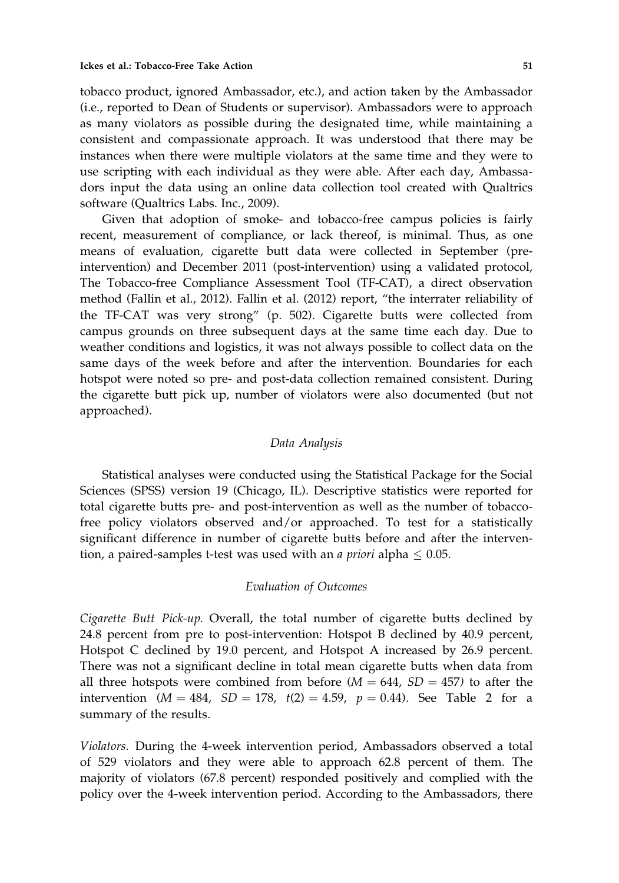tobacco product, ignored Ambassador, etc.), and action taken by the Ambassador (i.e., reported to Dean of Students or supervisor). Ambassadors were to approach as many violators as possible during the designated time, while maintaining a consistent and compassionate approach. It was understood that there may be instances when there were multiple violators at the same time and they were to use scripting with each individual as they were able. After each day, Ambassadors input the data using an online data collection tool created with Qualtrics software (Qualtrics Labs. Inc., 2009).

Given that adoption of smoke- and tobacco-free campus policies is fairly recent, measurement of compliance, or lack thereof, is minimal. Thus, as one means of evaluation, cigarette butt data were collected in September (preintervention) and December 2011 (post-intervention) using a validated protocol, The Tobacco-free Compliance Assessment Tool (TF-CAT), a direct observation method (Fallin et al., 2012). Fallin et al. (2012) report, "the interrater reliability of the TF-CAT was very strong" (p. 502). Cigarette butts were collected from campus grounds on three subsequent days at the same time each day. Due to weather conditions and logistics, it was not always possible to collect data on the same days of the week before and after the intervention. Boundaries for each hotspot were noted so pre- and post-data collection remained consistent. During the cigarette butt pick up, number of violators were also documented (but not approached).

## Data Analysis

Statistical analyses were conducted using the Statistical Package for the Social Sciences (SPSS) version 19 (Chicago, IL). Descriptive statistics were reported for total cigarette butts pre- and post-intervention as well as the number of tobaccofree policy violators observed and/or approached. To test for a statistically significant difference in number of cigarette butts before and after the intervention, a paired-samples t-test was used with an *a priori* alpha  $\leq 0.05$ .

## Evaluation of Outcomes

Cigarette Butt Pick-up. Overall, the total number of cigarette butts declined by 24.8 percent from pre to post-intervention: Hotspot B declined by 40.9 percent, Hotspot C declined by 19.0 percent, and Hotspot A increased by 26.9 percent. There was not a significant decline in total mean cigarette butts when data from all three hotspots were combined from before  $(M = 644, SD = 457)$  to after the intervention ( $M = 484$ ,  $SD = 178$ ,  $t(2) = 4.59$ ,  $p = 0.44$ ). See Table 2 for a summary of the results.

Violators. During the 4-week intervention period, Ambassadors observed a total of 529 violators and they were able to approach 62.8 percent of them. The majority of violators (67.8 percent) responded positively and complied with the policy over the 4-week intervention period. According to the Ambassadors, there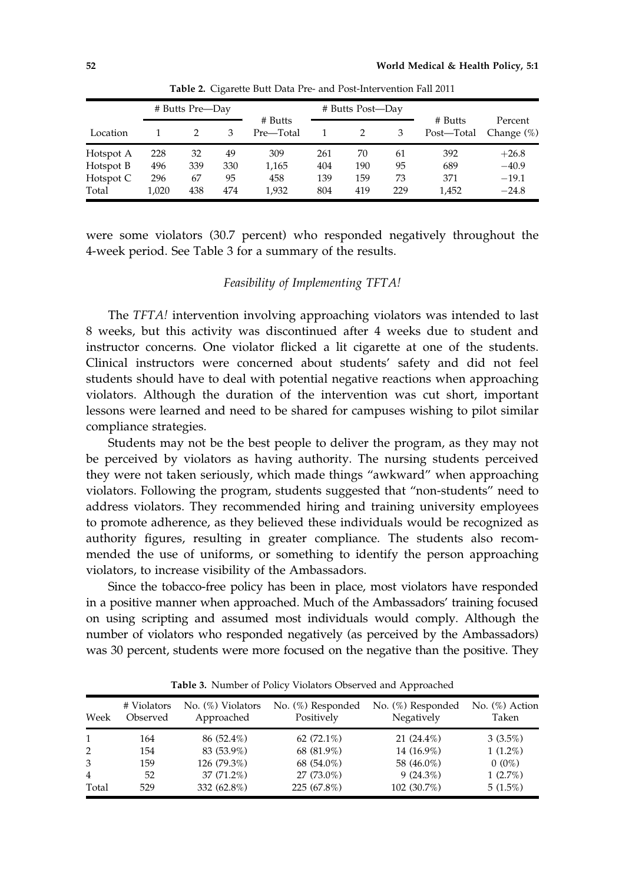|           | # Butts Pre-Day |     |     |                      | # Butts Post-Day |     |     |                       |                          |
|-----------|-----------------|-----|-----|----------------------|------------------|-----|-----|-----------------------|--------------------------|
| Location  |                 |     | 3   | # Butts<br>Pre-Total |                  |     | 3   | # Butts<br>Post-Total | Percent<br>Change $(\%)$ |
| Hotspot A | 228             | 32  | 49  | 309                  | 261              | 70  | 61  | 392                   | $+26.8$                  |
| Hotspot B | 496             | 339 | 330 | 1,165                | 404              | 190 | 95  | 689                   | $-40.9$                  |
| Hotspot C | 296             | 67  | 95  | 458                  | 139              | 159 | 73  | 371                   | $-19.1$                  |
| Total     | 1.020           | 438 | 474 | 1,932                | 804              | 419 | 229 | 1,452                 | $-24.8$                  |

Table 2. Cigarette Butt Data Pre- and Post-Intervention Fall 2011

were some violators (30.7 percent) who responded negatively throughout the 4-week period. See Table 3 for a summary of the results.

## Feasibility of Implementing TFTA!

The TFTA! intervention involving approaching violators was intended to last 8 weeks, but this activity was discontinued after 4 weeks due to student and instructor concerns. One violator flicked a lit cigarette at one of the students. Clinical instructors were concerned about students' safety and did not feel students should have to deal with potential negative reactions when approaching violators. Although the duration of the intervention was cut short, important lessons were learned and need to be shared for campuses wishing to pilot similar compliance strategies.

Students may not be the best people to deliver the program, as they may not be perceived by violators as having authority. The nursing students perceived they were not taken seriously, which made things "awkward" when approaching violators. Following the program, students suggested that "non-students" need to address violators. They recommended hiring and training university employees to promote adherence, as they believed these individuals would be recognized as authority figures, resulting in greater compliance. The students also recommended the use of uniforms, or something to identify the person approaching violators, to increase visibility of the Ambassadors.

Since the tobacco-free policy has been in place, most violators have responded in a positive manner when approached. Much of the Ambassadors' training focused on using scripting and assumed most individuals would comply. Although the number of violators who responded negatively (as perceived by the Ambassadors) was 30 percent, students were more focused on the negative than the positive. They

| Week         | # Violators<br>Observed | $No.$ $(\%)$ Violators<br>Approached | No. (%) Responded<br>Positively | No. (%) Responded<br>Negatively | No. $(\%)$ Action<br>Taken |
|--------------|-------------------------|--------------------------------------|---------------------------------|---------------------------------|----------------------------|
| $\mathbf{1}$ | 164                     | 86 (52.4%)                           | 62 $(72.1\%)$                   | 21 (24.4%)                      | $3(3.5\%)$                 |
| 2            | 154                     | 83 (53.9%)                           | 68 (81.9%)                      | 14 (16.9%)                      | $1(1.2\%)$                 |
| 3            | 159                     | 126 (79.3%)                          | 68 (54.0%)                      | 58 (46.0%)                      | $0(0\%)$                   |
| 4            | 52                      | 37 (71.2%)                           | 27 (73.0%)                      | $9(24.3\%)$                     | $1(2.7\%)$                 |
| Total        | 529                     | 332 (62.8%)                          | 225 (67.8%)                     | 102 (30.7%)                     | $5(1.5\%)$                 |

Table 3. Number of Policy Violators Observed and Approached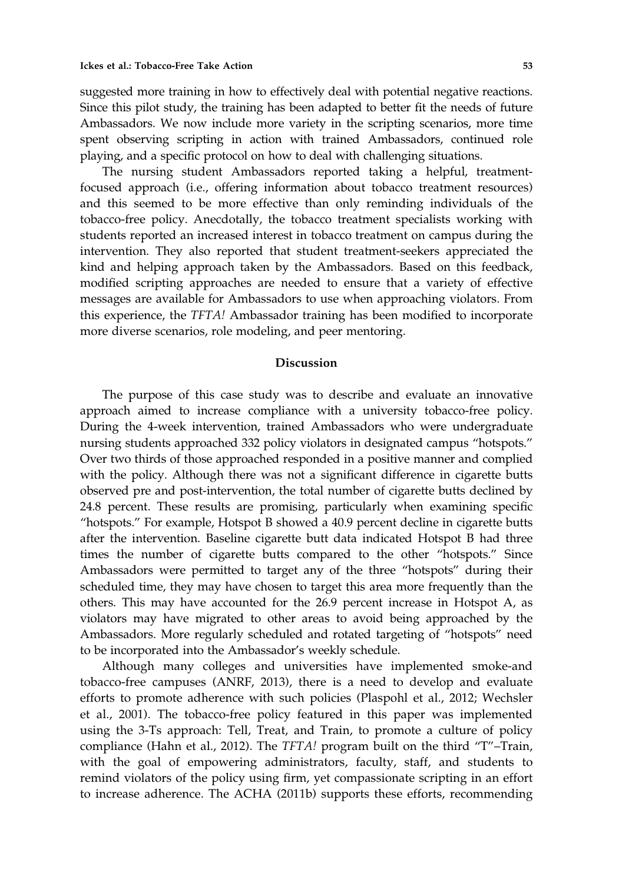suggested more training in how to effectively deal with potential negative reactions. Since this pilot study, the training has been adapted to better fit the needs of future Ambassadors. We now include more variety in the scripting scenarios, more time spent observing scripting in action with trained Ambassadors, continued role playing, and a specific protocol on how to deal with challenging situations.

The nursing student Ambassadors reported taking a helpful, treatmentfocused approach (i.e., offering information about tobacco treatment resources) and this seemed to be more effective than only reminding individuals of the tobacco-free policy. Anecdotally, the tobacco treatment specialists working with students reported an increased interest in tobacco treatment on campus during the intervention. They also reported that student treatment-seekers appreciated the kind and helping approach taken by the Ambassadors. Based on this feedback, modified scripting approaches are needed to ensure that a variety of effective messages are available for Ambassadors to use when approaching violators. From this experience, the TFTA! Ambassador training has been modified to incorporate more diverse scenarios, role modeling, and peer mentoring.

#### Discussion

The purpose of this case study was to describe and evaluate an innovative approach aimed to increase compliance with a university tobacco-free policy. During the 4-week intervention, trained Ambassadors who were undergraduate nursing students approached 332 policy violators in designated campus "hotspots." Over two thirds of those approached responded in a positive manner and complied with the policy. Although there was not a significant difference in cigarette butts observed pre and post-intervention, the total number of cigarette butts declined by 24.8 percent. These results are promising, particularly when examining specific "hotspots." For example, Hotspot B showed a 40.9 percent decline in cigarette butts after the intervention. Baseline cigarette butt data indicated Hotspot B had three times the number of cigarette butts compared to the other "hotspots." Since Ambassadors were permitted to target any of the three "hotspots" during their scheduled time, they may have chosen to target this area more frequently than the others. This may have accounted for the 26.9 percent increase in Hotspot A, as violators may have migrated to other areas to avoid being approached by the Ambassadors. More regularly scheduled and rotated targeting of "hotspots" need to be incorporated into the Ambassador's weekly schedule.

Although many colleges and universities have implemented smoke-and tobacco-free campuses (ANRF, 2013), there is a need to develop and evaluate efforts to promote adherence with such policies (Plaspohl et al., 2012; Wechsler et al., 2001). The tobacco-free policy featured in this paper was implemented using the 3-Ts approach: Tell, Treat, and Train, to promote a culture of policy compliance (Hahn et al., 2012). The TFTA! program built on the third "T"–Train, with the goal of empowering administrators, faculty, staff, and students to remind violators of the policy using firm, yet compassionate scripting in an effort to increase adherence. The ACHA (2011b) supports these efforts, recommending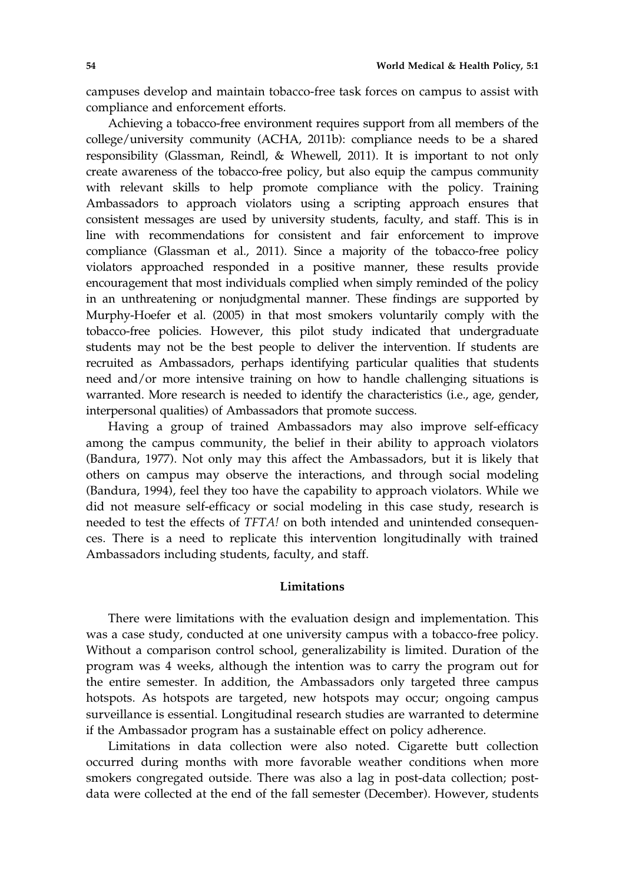campuses develop and maintain tobacco-free task forces on campus to assist with compliance and enforcement efforts.

Achieving a tobacco-free environment requires support from all members of the college/university community (ACHA, 2011b): compliance needs to be a shared responsibility (Glassman, Reindl, & Whewell, 2011). It is important to not only create awareness of the tobacco-free policy, but also equip the campus community with relevant skills to help promote compliance with the policy. Training Ambassadors to approach violators using a scripting approach ensures that consistent messages are used by university students, faculty, and staff. This is in line with recommendations for consistent and fair enforcement to improve compliance (Glassman et al., 2011). Since a majority of the tobacco-free policy violators approached responded in a positive manner, these results provide encouragement that most individuals complied when simply reminded of the policy in an unthreatening or nonjudgmental manner. These findings are supported by Murphy-Hoefer et al. (2005) in that most smokers voluntarily comply with the tobacco-free policies. However, this pilot study indicated that undergraduate students may not be the best people to deliver the intervention. If students are recruited as Ambassadors, perhaps identifying particular qualities that students need and/or more intensive training on how to handle challenging situations is warranted. More research is needed to identify the characteristics (i.e., age, gender, interpersonal qualities) of Ambassadors that promote success.

Having a group of trained Ambassadors may also improve self-efficacy among the campus community, the belief in their ability to approach violators (Bandura, 1977). Not only may this affect the Ambassadors, but it is likely that others on campus may observe the interactions, and through social modeling (Bandura, 1994), feel they too have the capability to approach violators. While we did not measure self-efficacy or social modeling in this case study, research is needed to test the effects of TFTA! on both intended and unintended consequences. There is a need to replicate this intervention longitudinally with trained Ambassadors including students, faculty, and staff.

# Limitations

There were limitations with the evaluation design and implementation. This was a case study, conducted at one university campus with a tobacco-free policy. Without a comparison control school, generalizability is limited. Duration of the program was 4 weeks, although the intention was to carry the program out for the entire semester. In addition, the Ambassadors only targeted three campus hotspots. As hotspots are targeted, new hotspots may occur; ongoing campus surveillance is essential. Longitudinal research studies are warranted to determine if the Ambassador program has a sustainable effect on policy adherence.

Limitations in data collection were also noted. Cigarette butt collection occurred during months with more favorable weather conditions when more smokers congregated outside. There was also a lag in post-data collection; postdata were collected at the end of the fall semester (December). However, students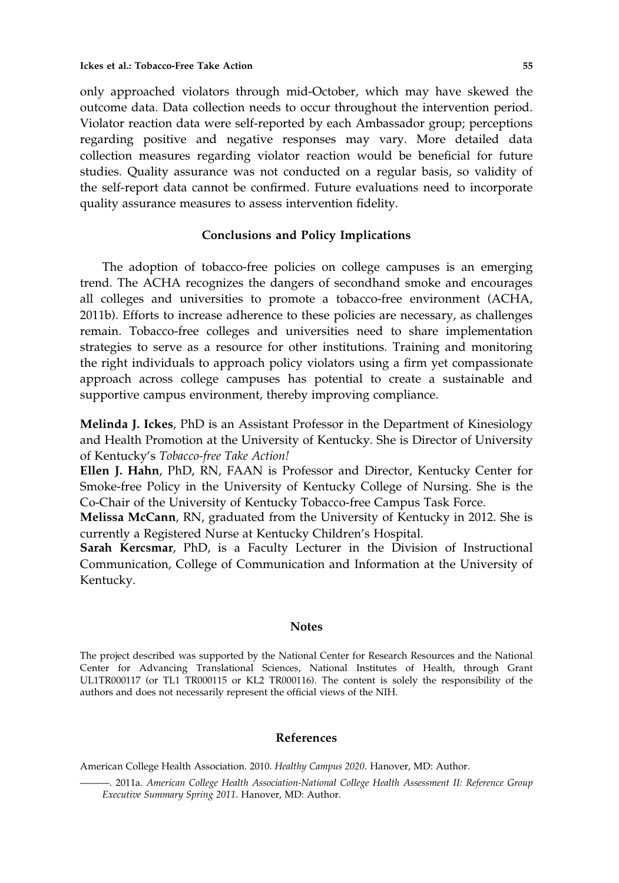only approached violators through mid-October, which may have skewed the outcome data. Data collection needs to occur throughout the intervention period. Violator reaction data were self-reported by each Ambassador group; perceptions regarding positive and negative responses may vary. More detailed data collection measures regarding violator reaction would be beneficial for future studies. Quality assurance was not conducted on a regular basis, so validity of the self-report data cannot be confirmed. Future evaluations need to incorporate quality assurance measures to assess intervention fidelity.

#### Conclusions and Policy Implications

The adoption of tobacco-free policies on college campuses is an emerging trend. The ACHA recognizes the dangers of secondhand smoke and encourages all colleges and universities to promote a tobacco-free environment (ACHA, 2011b). Efforts to increase adherence to these policies are necessary, as challenges remain. Tobacco-free colleges and universities need to share implementation strategies to serve as a resource for other institutions. Training and monitoring the right individuals to approach policy violators using a firm yet compassionate approach across college campuses has potential to create a sustainable and supportive campus environment, thereby improving compliance.

Melinda J. Ickes, PhD is an Assistant Professor in the Department of Kinesiology and Health Promotion at the University of Kentucky. She is Director of University of Kentucky's Tobacco-free Take Action!

Ellen J. Hahn, PhD, RN, FAAN is Professor and Director, Kentucky Center for Smoke-free Policy in the University of Kentucky College of Nursing. She is the Co-Chair of the University of Kentucky Tobacco-free Campus Task Force.

Melissa McCann, RN, graduated from the University of Kentucky in 2012. She is currently a Registered Nurse at Kentucky Children's Hospital.

Sarah Kercsmar, PhD, is a Faculty Lecturer in the Division of Instructional Communication, College of Communication and Information at the University of Kentucky.

#### **Notes**

The project described was supported by the National Center for Research Resources and the National Center for Advancing Translational Sciences, National Institutes of Health, through Grant UL1TR000117 (or TL1 TR000115 or KL2 TR000116). The content is solely the responsibility of the authors and does not necessarily represent the official views of the NIH.

#### References

American College Health Association. 2010. Healthy Campus 2020. Hanover, MD: Author.

<sup>———. 2011</sup>a. American College Health Association-National College Health Assessment II: Reference Group Executive Summary Spring 2011. Hanover, MD: Author.